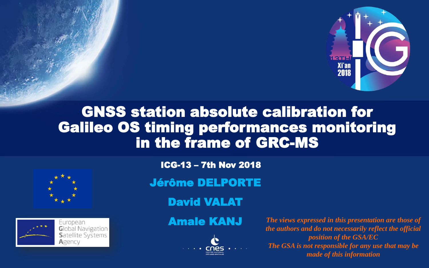

## GNSS station absolute calibration for Galileo OS timing performances monitoring in the frame of GRC-MS





ICG-13 – 7th Nov 2018

Jérôme DELPORTE

David VALAT



Amale KANJ *The views expressed in this presentation are those of the authors and do not necessarily reflect the official position of the GSA/EC The GSA is not responsible for any use that may be made of this information*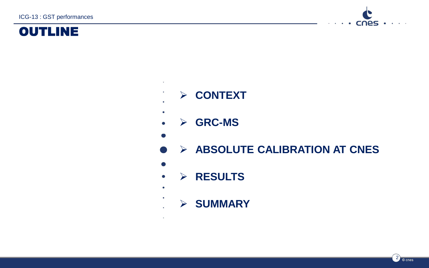ICG-13 : GST performances





- ➢ **CONTEXT**
- $\bullet$
- ➢ **GRC-MS**
- 

 $\ddot{\phantom{0}}$ 

- ➢ **ABSOLUTE CALIBRATION AT CNES**
- $\bullet$

 $\bullet$  $\bullet$ 

- ➢ **RESULTS**  $\bullet$ 
	- ➢ **SUMMARY**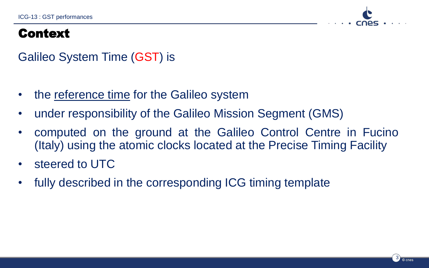

#### Context

#### Galileo System Time (GST) is

- the reference time for the Galileo system
- under responsibility of the Galileo Mission Segment (GMS)
- computed on the ground at the Galileo Control Centre in Fucino (Italy) using the atomic clocks located at the Precise Timing Facility
- steered to UTC
- fully described in the corresponding ICG timing template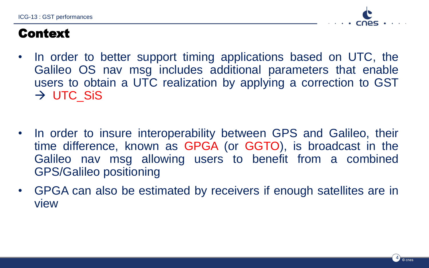ICG-13 : GST performances



#### Context

- In order to better support timing applications based on UTC, the Galileo OS nav msg includes additional parameters that enable users to obtain a UTC realization by applying a correction to GST  $\rightarrow$  UTC SiS
- In order to insure interoperability between GPS and Galileo, their time difference, known as GPGA (or GGTO), is broadcast in the Galileo nav msg allowing users to benefit from a combined GPS/Galileo positioning
- GPGA can also be estimated by receivers if enough satellites are in view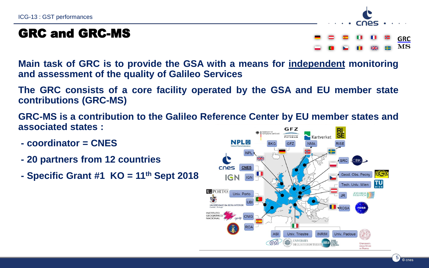#### GRC and GRC-MS

**GRC**  $MS$ 

CNAS.

**Main task of GRC is to provide the GSA with a means for independent monitoring and assessment of the quality of Galileo Services**

**The GRC consists of a core facility operated by the GSA and EU member state contributions (GRC-MS)**

**GRC-MS is a contribution to the Galileo Reference Center by EU member states and associated states :** GFZ

- **- coordinator = CNES**
- **- 20 partners from 12 countries**
- **- Specific Grant #1 KO = 11th Sept 2018**

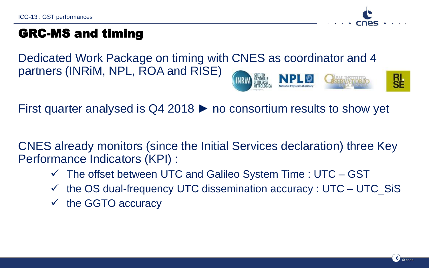

#### GRC-MS and timing

Dedicated Work Package on timing with CNES as coordinator and 4 partners (INRiM, NPL, ROA and RISE) INRiN

First quarter analysed is  $Q4\,2018$   $\blacktriangleright$  no consortium results to show yet

CNES already monitors (since the Initial Services declaration) three Key Performance Indicators (KPI) :

- $\checkmark$  The offset between UTC and Galileo System Time : UTC GST
- $\checkmark$  the OS dual-frequency UTC dissemination accuracy : UTC UTC\_SiS
- $\checkmark$  the GGTO accuracy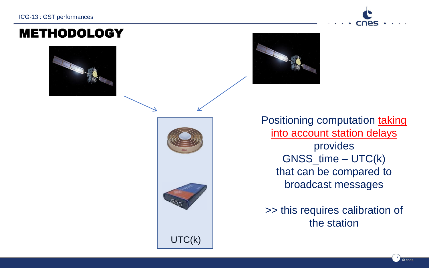METHODOLOGY



Positioning computation taking into account station delays provides GNSS\_time – UTC(k) that can be compared to broadcast messages

>> this requires calibration of the station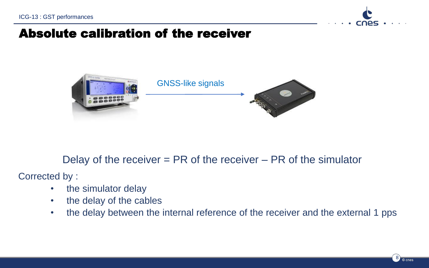

#### Absolute calibration of the receiver



#### Delay of the receiver = PR of the receiver – PR of the simulator

Corrected by :

- the simulator delay
- the delay of the cables
- the delay between the internal reference of the receiver and the external 1 pps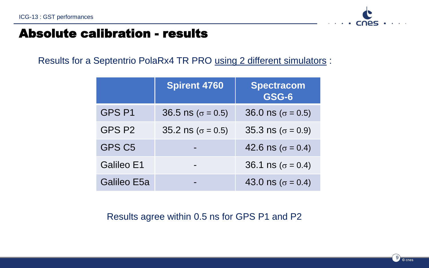

#### Absolute calibration - results

Results for a Septentrio PolaRx4 TR PRO using 2 different simulators :

|                    | <b>Spirent 4760</b>               | <b>Spectracom</b><br>GSG-6 |
|--------------------|-----------------------------------|----------------------------|
| GPS <sub>P1</sub>  | $36.5 \text{ ns } (\sigma = 0.5)$ | 36.0 ns ( $\sigma$ = 0.5)  |
| GPS P2             | 35.2 ns ( $\sigma$ = 0.5)         | 35.3 ns ( $\sigma$ = 0.9)  |
| GPS C <sub>5</sub> |                                   | 42.6 ns ( $\sigma$ = 0.4)  |
| Galileo E1         |                                   | 36.1 ns ( $\sigma$ = 0.4)  |
| Galileo E5a        |                                   | 43.0 ns ( $\sigma$ = 0.4)  |

Results agree within 0.5 ns for GPS P1 and P2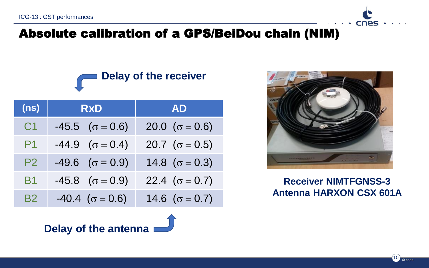

## **Delay of the receiver**

| (n s)          | <b>RxD</b>                   | <b>AD</b>              |
|----------------|------------------------------|------------------------|
| C <sub>1</sub> | $-45.5$ $(\sigma = 0.6)$     | 20.0 ( $\sigma$ = 0.6) |
| P1             | $-44.9$ $(\sigma = 0.4)$     | 20.7 ( $\sigma$ = 0.5) |
| P <sub>2</sub> | $-49.6 \quad (\sigma = 0.9)$ | 14.8 ( $\sigma$ = 0.3) |
| <b>B1</b>      | $-45.8 \quad (\sigma = 0.9)$ | 22.4 ( $\sigma$ = 0.7) |
| B <sub>2</sub> | $-40.4 \ (\sigma = 0.6)$     | 14.6 ( $\sigma$ = 0.7) |



cnes

#### **Receiver NIMTFGNSS-3 Antenna HARXON CSX 601A**

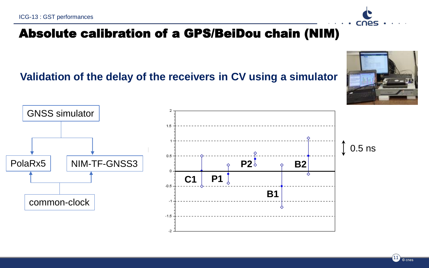### Absolute calibration of a GPS/BeiDou chain (NIM)

**Validation of the delay of the receivers in CV using a simulator**





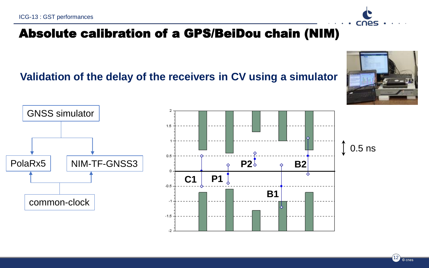### Absolute calibration of a GPS/BeiDou chain (NIM)

**Validation of the delay of the receivers in CV using a simulator**





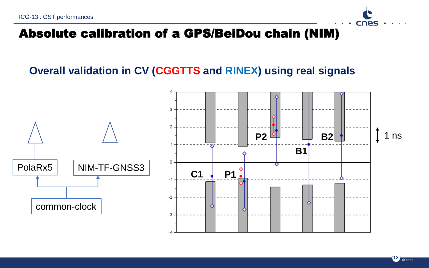# cnes

#### Absolute calibration of a GPS/BeiDou chain (NIM)

#### **Overall validation in CV (CGGTTS and RINEX) using real signals**

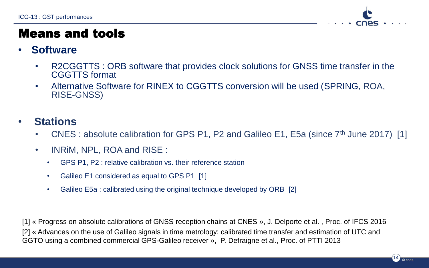

#### Means and tools

#### • **Software**

- R2CGGTTS : ORB software that provides clock solutions for GNSS time transfer in the CGGTTS format
- Alternative Software for RINEX to CGGTTS conversion will be used (SPRING, ROA, RISE-GNSS)

#### • **Stations**

- CNES : absolute calibration for GPS P1, P2 and Galileo E1, E5a (since  $7<sup>th</sup>$  June 2017) [1]
- INRiM, NPL, ROA and RISE :
	- GPS P1, P2 : relative calibration vs. their reference station
	- Galileo E1 considered as equal to GPS P1 [1]
	- Galileo E5a : calibrated using the original technique developed by ORB [2]

[1] « Progress on absolute calibrations of GNSS reception chains at CNES », J. Delporte et al. , Proc. of IFCS 2016 [2] « Advances on the use of Galileo signals in time metrology: calibrated time transfer and estimation of UTC and GGTO using a combined commercial GPS-Galileo receiver », P. Defraigne et al., Proc. of PTTI 2013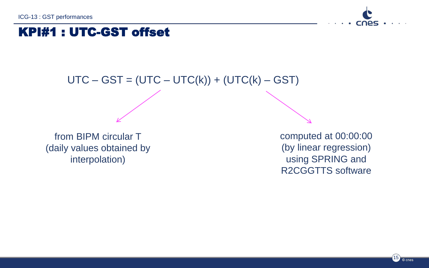

#### KPI#1 : UTC-GST offset

#### $UTC - GST = (UTC - UTC(k)) + (UTC(k) - GST)$

from BIPM circular T (daily values obtained by interpolation)

computed at 00:00:00 (by linear regression) using SPRING and R2CGGTTS software

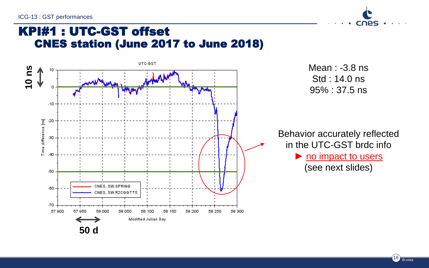ICG-13 : GST performances



#### KPI#1 : UTC-GST offset CNES station (June 2017 to June 2018)



 $(16)$   $\circ$  cnes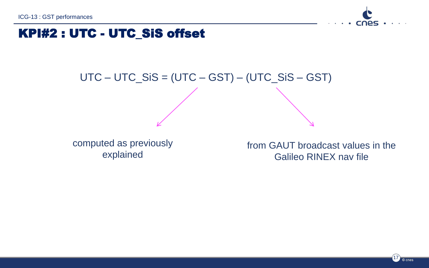

#### KPI#2 : UTC - UTC\_SiS offset

# UTC – UTC\_SiS = (UTC – GST) – (UTC\_SiS – GST)

computed as previously explained

from GAUT broadcast values in the Galileo RINEX nav file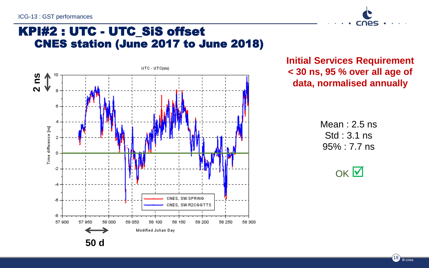

#### KPI#2 : UTC - UTC\_SiS offset CNES station (June 2017 to June 2018)



**Initial Services Requirement < 30 ns, 95 % over all age of data, normalised annually**

> Mean : 2.5 ns Std : 3.1 ns 95% : 7.7 ns



 $(18)$   $\circ$  cnes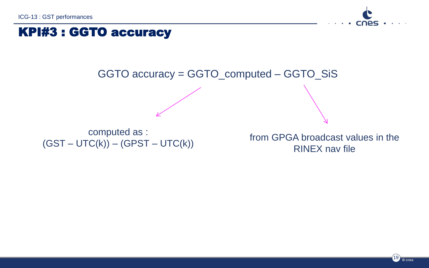

#### KPI#3 : GGTO accuracy



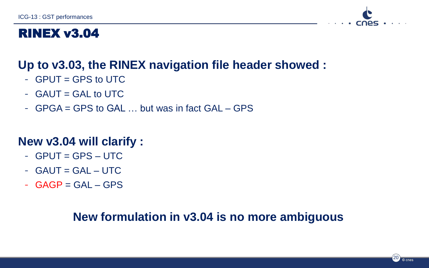

#### RINEX v3.04

#### **Up to v3.03, the RINEX navigation file header showed :**

- $-$  GPUT = GPS to UTC
- $-$  GAUT = GAL to UTC
- GPGA = GPS to GAL … but was in fact GAL GPS

#### **New v3.04 will clarify :**

- $-$  GPUT = GPS  $-$  UTC
- $-$  GAUT = GAL  $-$  UTC
- $-$  GAGP = GAL GPS

#### **New formulation in v3.04 is no more ambiguous**

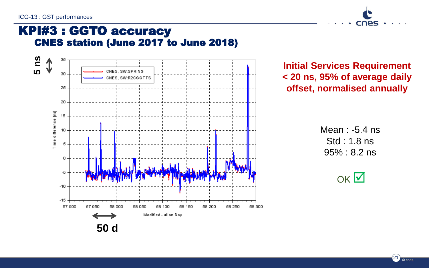

#### KPI#3 : GGTO accuracy CNES station (June 2017 to June 2018)



**Initial Services Requirement < 20 ns, 95% of average daily offset, normalised annually**

> Mean : -5.4 ns Std : 1.8 ns 95% : 8.2 ns



 $(21)$   $\circ$  cnes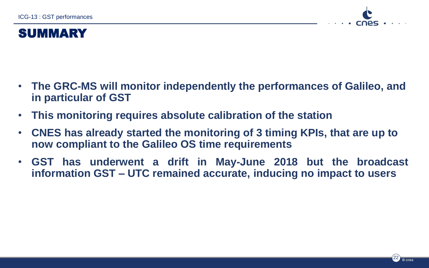

#### SUMMARY

- **The GRC-MS will monitor independently the performances of Galileo, and in particular of GST**
- **This monitoring requires absolute calibration of the station**
- **CNES has already started the monitoring of 3 timing KPIs, that are up to now compliant to the Galileo OS time requirements**
- **GST has underwent a drift in May-June 2018 but the broadcast information GST – UTC remained accurate, inducing no impact to users**